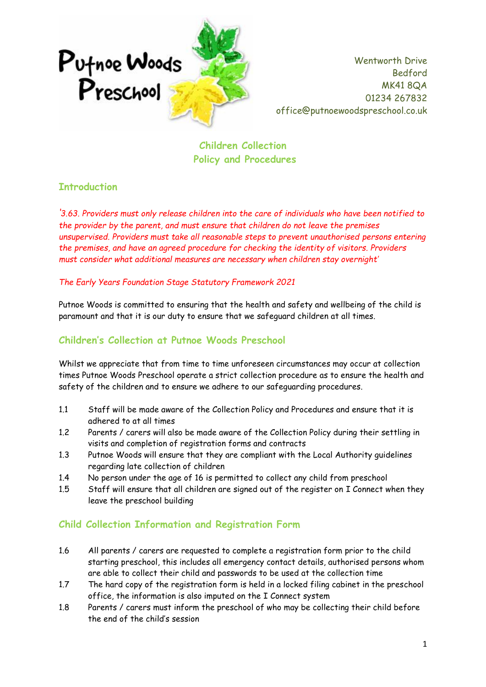

**Children Collection Policy and Procedures**

### **Introduction**

*'3.63. Providers must only release children into the care of individuals who have been notified to the provider by the parent, and must ensure that children do not leave the premises unsupervised. Providers must take all reasonable steps to prevent unauthorised persons entering the premises, and have an agreed procedure for checking the identity of visitors. Providers must consider what additional measures are necessary when children stay overnight'* 

*The Early Years Foundation Stage Statutory Framework 2021*

Putnoe Woods is committed to ensuring that the health and safety and wellbeing of the child is paramount and that it is our duty to ensure that we safeguard children at all times.

## **Children's Collection at Putnoe Woods Preschool**

Whilst we appreciate that from time to time unforeseen circumstances may occur at collection times Putnoe Woods Preschool operate a strict collection procedure as to ensure the health and safety of the children and to ensure we adhere to our safeguarding procedures.

- 1.1 Staff will be made aware of the Collection Policy and Procedures and ensure that it is adhered to at all times
- 1.2 Parents / carers will also be made aware of the Collection Policy during their settling in visits and completion of registration forms and contracts
- 1.3 Putnoe Woods will ensure that they are compliant with the Local Authority guidelines regarding late collection of children
- 1.4 No person under the age of 16 is permitted to collect any child from preschool
- 1.5 Staff will ensure that all children are signed out of the register on I Connect when they leave the preschool building

### **Child Collection Information and Registration Form**

- 1.6 All parents / carers are requested to complete a registration form prior to the child starting preschool, this includes all emergency contact details, authorised persons whom are able to collect their child and passwords to be used at the collection time
- 1.7 The hard copy of the registration form is held in a locked filing cabinet in the preschool office, the information is also imputed on the I Connect system
- 1.8 Parents / carers must inform the preschool of who may be collecting their child before the end of the child's session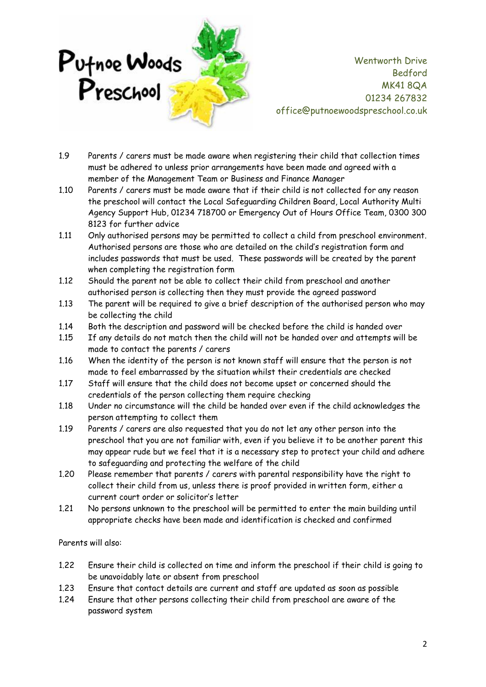

- 1.9 Parents / carers must be made aware when registering their child that collection times must be adhered to unless prior arrangements have been made and agreed with a member of the Management Team or Business and Finance Manager
- 1.10 Parents / carers must be made aware that if their child is not collected for any reason the preschool will contact the Local Safeguarding Children Board, Local Authority Multi Agency Support Hub, 01234 718700 or Emergency Out of Hours Office Team, 0300 300 8123 for further advice
- 1.11 Only authorised persons may be permitted to collect a child from preschool environment. Authorised persons are those who are detailed on the child's registration form and includes passwords that must be used. These passwords will be created by the parent when completing the registration form
- 1.12 Should the parent not be able to collect their child from preschool and another authorised person is collecting then they must provide the agreed password
- 1.13 The parent will be required to give a brief description of the authorised person who may be collecting the child
- 1.14 Both the description and password will be checked before the child is handed over
- 1.15 If any details do not match then the child will not be handed over and attempts will be made to contact the parents / carers
- 1.16 When the identity of the person is not known staff will ensure that the person is not made to feel embarrassed by the situation whilst their credentials are checked
- 1.17 Staff will ensure that the child does not become upset or concerned should the credentials of the person collecting them require checking
- 1.18 Under no circumstance will the child be handed over even if the child acknowledges the person attempting to collect them
- 1.19 Parents / carers are also requested that you do not let any other person into the preschool that you are not familiar with, even if you believe it to be another parent this may appear rude but we feel that it is a necessary step to protect your child and adhere to safeguarding and protecting the welfare of the child
- 1.20 Please remember that parents / carers with parental responsibility have the right to collect their child from us, unless there is proof provided in written form, either a current court order or solicitor's letter
- 1.21 No persons unknown to the preschool will be permitted to enter the main building until appropriate checks have been made and identification is checked and confirmed

Parents will also:

- 1.22 Ensure their child is collected on time and inform the preschool if their child is going to be unavoidably late or absent from preschool
- 1.23 Ensure that contact details are current and staff are updated as soon as possible
- 1.24 Ensure that other persons collecting their child from preschool are aware of the password system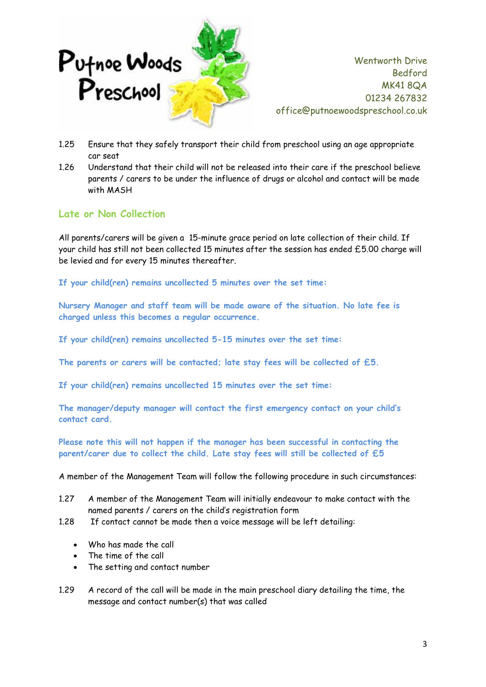

- 1.25 Ensure that they safely transport their child from preschool using an age appropriate car seat
- 1.26 Understand that their child will not be released into their care if the preschool believe parents / carers to be under the influence of drugs or alcohol and contact will be made with MASH

### **Late or Non Collection**

All parents/carers will be given a 15-minute grace period on late collection of their child. If your child has still not been collected 15 minutes after the session has ended £5.00 charge will be levied and for every 15 minutes thereafter.

**If your child(ren) remains uncollected 5 minutes over the set time:** 

**Nursery Manager and staff team will be made aware of the situation. No late fee is charged unless this becomes a regular occurrence.**

**If your child(ren) remains uncollected 5-15 minutes over the set time:**

**The parents or carers will be contacted; late stay fees will be collected of £5.**

**If your child(ren) remains uncollected 15 minutes over the set time:** 

**The manager/deputy manager will contact the first emergency contact on your child's contact card.** 

**Please note this will not happen if the manager has been successful in contacting the parent/carer due to collect the child. Late stay fees will still be collected of £5**

A member of the Management Team will follow the following procedure in such circumstances:

- 1.27 A member of the Management Team will initially endeavour to make contact with the named parents / carers on the child's registration form
- 1.28 If contact cannot be made then a voice message will be left detailing:
	- Who has made the call
	- The time of the call
	- The setting and contact number
- 1.29 A record of the call will be made in the main preschool diary detailing the time, the message and contact number(s) that was called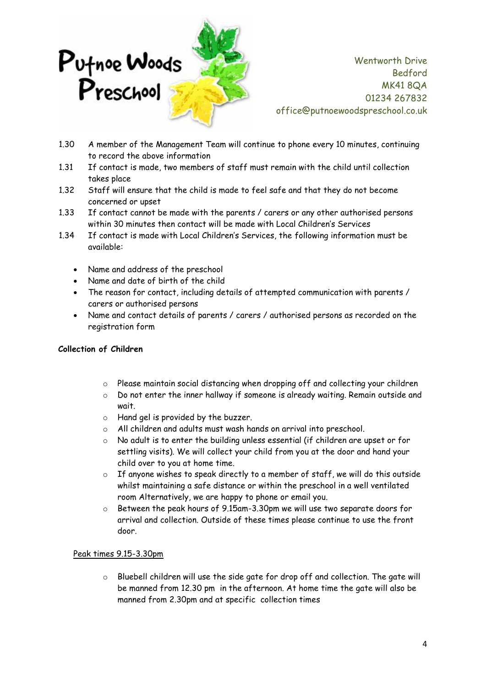

- 1.30 A member of the Management Team will continue to phone every 10 minutes, continuing to record the above information
- 1.31 If contact is made, two members of staff must remain with the child until collection takes place
- 1.32 Staff will ensure that the child is made to feel safe and that they do not become concerned or upset
- 1.33 If contact cannot be made with the parents / carers or any other authorised persons within 30 minutes then contact will be made with Local Children's Services
- 1.34 If contact is made with Local Children's Services, the following information must be available:
	- Name and address of the preschool
	- Name and date of birth of the child
	- The reason for contact, including details of attempted communication with parents / carers or authorised persons
	- Name and contact details of parents / carers / authorised persons as recorded on the registration form

#### **Collection of Children**

- o Please maintain social distancing when dropping off and collecting your children
- o Do not enter the inner hallway if someone is already waiting. Remain outside and wait.
- o Hand gel is provided by the buzzer.
- o All children and adults must wash hands on arrival into preschool.
- o No adult is to enter the building unless essential (if children are upset or for settling visits). We will collect your child from you at the door and hand your child over to you at home time.
- $\circ$  If anyone wishes to speak directly to a member of staff, we will do this outside whilst maintaining a safe distance or within the preschool in a well ventilated room Alternatively, we are happy to phone or email you.
- $\circ$  Between the peak hours of 9.15am-3.30pm we will use two separate doors for arrival and collection. Outside of these times please continue to use the front door.

#### Peak times 9.15-3.30pm

 $\circ$  Bluebell children will use the side gate for drop off and collection. The gate will be manned from 12.30 pm in the afternoon. At home time the gate will also be manned from 2.30pm and at specific collection times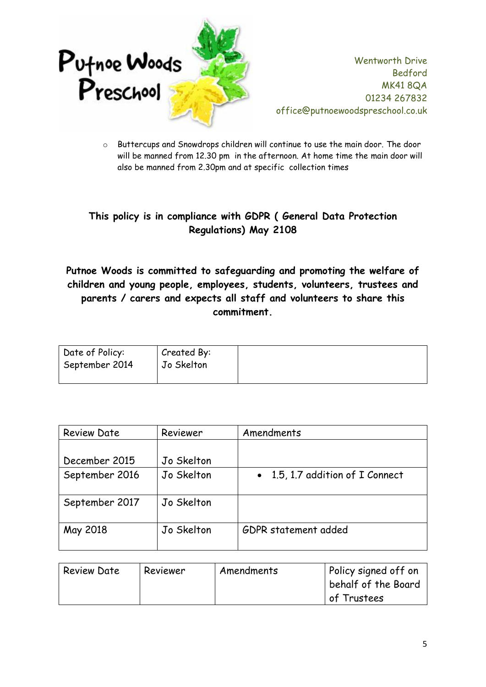

o Buttercups and Snowdrops children will continue to use the main door. The door will be manned from 12.30 pm in the afternoon. At home time the main door will also be manned from 2.30pm and at specific collection times

# **This policy is in compliance with GDPR ( General Data Protection Regulations) May 2108**

## **Putnoe Woods is committed to safeguarding and promoting the welfare of children and young people, employees, students, volunteers, trustees and parents / carers and expects all staff and volunteers to share this commitment.**

| Date of Policy: | Created By: |
|-----------------|-------------|
| September 2014  | Jo Skelton  |
|                 |             |

| <b>Review Date</b> | Reviewer   | Amendments                       |
|--------------------|------------|----------------------------------|
|                    |            |                                  |
| December 2015      | Jo Skelton |                                  |
| September 2016     | Jo Skelton | • 1.5, 1.7 addition of I Connect |
| September 2017     | Jo Skelton |                                  |
| May 2018           | Jo Skelton | GDPR statement added             |

| <b>Review Date</b> | Reviewer | Amendments | Policy signed off on<br>behalf of the Board |
|--------------------|----------|------------|---------------------------------------------|
|                    |          |            | of Trustees                                 |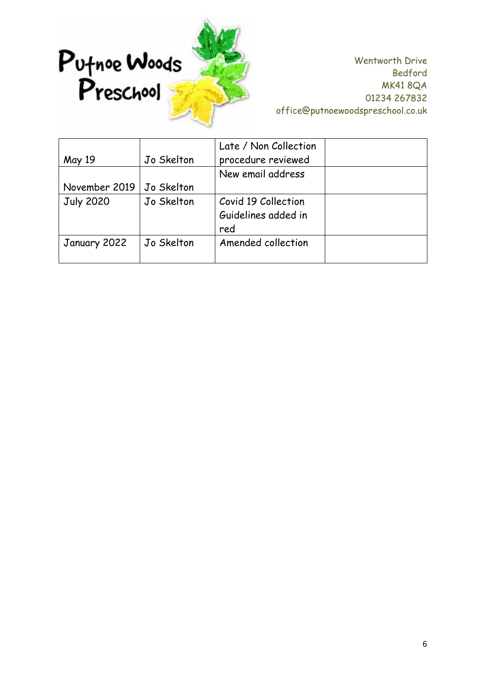

|                  |            | Late / Non Collection |  |
|------------------|------------|-----------------------|--|
| May 19           | Jo Skelton | procedure reviewed    |  |
|                  |            | New email address     |  |
| November 2019    | Jo Skelton |                       |  |
| <b>July 2020</b> | Jo Skelton | Covid 19 Collection   |  |
|                  |            | Guidelines added in   |  |
|                  |            | red                   |  |
| January 2022     | Jo Skelton | Amended collection    |  |
|                  |            |                       |  |